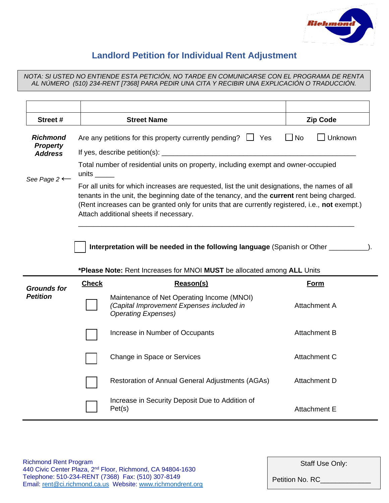

## **Landlord Petition for Individual Rent Adjustment**

*NOTA: SI USTED NO ENTIENDE ESTA PETICIÓN, NO TARDE EN COMUNICARSE CON EL PROGRAMA DE RENTA AL NÚMERO (510) 234-RENT [7368] PARA PEDIR UNA CITA Y RECIBIR UNA EXPLICACIÓN O TRADUCCIÓN.*

| Street #                    |                                                                                                                                                                                                                                                                                                                                           | <b>Street Name</b>                                                                                                    | <b>Zip Code</b>     |  |  |  |
|-----------------------------|-------------------------------------------------------------------------------------------------------------------------------------------------------------------------------------------------------------------------------------------------------------------------------------------------------------------------------------------|-----------------------------------------------------------------------------------------------------------------------|---------------------|--|--|--|
| Richmond<br><b>Property</b> |                                                                                                                                                                                                                                                                                                                                           | Are any petitions for this property currently pending? $\Box$ Yes                                                     | Unknown<br>l INo    |  |  |  |
| <b>Address</b>              |                                                                                                                                                                                                                                                                                                                                           |                                                                                                                       |                     |  |  |  |
| See Page $2 \leftarrow$     | units                                                                                                                                                                                                                                                                                                                                     | Total number of residential units on property, including exempt and owner-occupied                                    |                     |  |  |  |
|                             | For all units for which increases are requested, list the unit designations, the names of all<br>tenants in the unit, the beginning date of the tenancy, and the current rent being charged.<br>(Rent increases can be granted only for units that are currently registered, i.e., not exempt.)<br>Attach additional sheets if necessary. |                                                                                                                       |                     |  |  |  |
|                             |                                                                                                                                                                                                                                                                                                                                           | Interpretation will be needed in the following language (Spanish or Other ______                                      |                     |  |  |  |
|                             |                                                                                                                                                                                                                                                                                                                                           | *Please Note: Rent Increases for MNOI MUST be allocated among ALL Units                                               |                     |  |  |  |
| <b>Grounds for</b>          | <b>Check</b>                                                                                                                                                                                                                                                                                                                              | Reason(s)                                                                                                             | <b>Form</b>         |  |  |  |
| <b>Petition</b>             |                                                                                                                                                                                                                                                                                                                                           | Maintenance of Net Operating Income (MNOI)<br>(Capital Improvement Expenses included in<br><b>Operating Expenses)</b> | <b>Attachment A</b> |  |  |  |
|                             |                                                                                                                                                                                                                                                                                                                                           | Increase in Number of Occupants                                                                                       | <b>Attachment B</b> |  |  |  |
|                             |                                                                                                                                                                                                                                                                                                                                           | Change in Space or Services                                                                                           | Attachment C        |  |  |  |
|                             |                                                                                                                                                                                                                                                                                                                                           | Restoration of Annual General Adjustments (AGAs)                                                                      | Attachment D        |  |  |  |

Staff Use Only:

Petition No. RC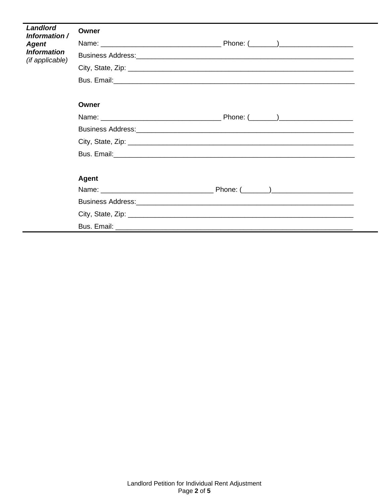| Landlord<br>Information /             | Owner |  |
|---------------------------------------|-------|--|
| Agent                                 |       |  |
| <b>Information</b><br>(if applicable) |       |  |
|                                       |       |  |
|                                       |       |  |
|                                       | Owner |  |
|                                       |       |  |
|                                       |       |  |
|                                       |       |  |
|                                       |       |  |
|                                       | Agent |  |
|                                       |       |  |
|                                       |       |  |
|                                       |       |  |
|                                       |       |  |
|                                       |       |  |

-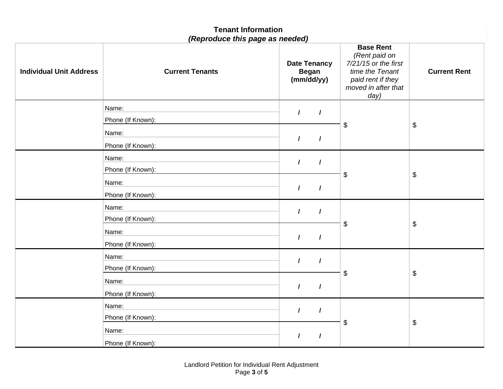|                                | <b>Tenant Information</b><br>(Reproduce this page as needed) |                                                   |          |                                                                                                                                    |                     |
|--------------------------------|--------------------------------------------------------------|---------------------------------------------------|----------|------------------------------------------------------------------------------------------------------------------------------------|---------------------|
| <b>Individual Unit Address</b> | <b>Current Tenants</b>                                       | <b>Date Tenancy</b><br><b>Began</b><br>(mm/dd/yy) |          | <b>Base Rent</b><br>(Rent paid on<br>$7/21/15$ or the first<br>time the Tenant<br>paid rent if they<br>moved in after that<br>day) | <b>Current Rent</b> |
|                                | Name:                                                        | $\prime$                                          | $\prime$ |                                                                                                                                    |                     |
|                                | Phone (If Known):                                            |                                                   |          | \$                                                                                                                                 | \$                  |
|                                | Name:                                                        | $\prime$                                          | $\prime$ |                                                                                                                                    |                     |
|                                | Phone (If Known):<br>Name:                                   |                                                   |          |                                                                                                                                    |                     |
|                                | Phone (If Known):                                            | $\prime$                                          | $\prime$ |                                                                                                                                    |                     |
|                                | Name:                                                        |                                                   |          | \$                                                                                                                                 | \$                  |
|                                | Phone (If Known):                                            | $\prime$                                          | $\prime$ |                                                                                                                                    |                     |
|                                | Name:                                                        |                                                   |          |                                                                                                                                    |                     |
|                                | Phone (If Known):                                            | $\prime$                                          | $\prime$ |                                                                                                                                    |                     |
|                                | Name:                                                        | $\prime$                                          |          | \$                                                                                                                                 | \$                  |
|                                | Phone (If Known):                                            |                                                   | $\prime$ |                                                                                                                                    |                     |
|                                | Name:                                                        | $\prime$                                          | $\prime$ |                                                                                                                                    |                     |
|                                | Phone (If Known):                                            |                                                   |          | \$                                                                                                                                 | \$                  |
|                                | Name:                                                        | $\prime$                                          | $\prime$ |                                                                                                                                    |                     |
|                                | Phone (If Known):                                            |                                                   |          |                                                                                                                                    |                     |
|                                | Name:                                                        | $\prime$                                          | $\prime$ |                                                                                                                                    |                     |
|                                | Phone (If Known):                                            |                                                   |          | \$                                                                                                                                 | \$                  |
|                                | Name:                                                        |                                                   | $\prime$ |                                                                                                                                    |                     |
|                                | Phone (If Known):                                            |                                                   |          |                                                                                                                                    |                     |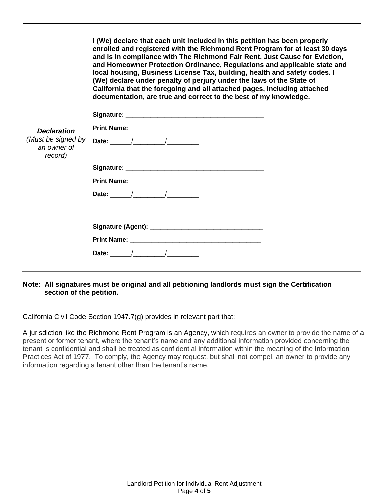|                                              | I (We) declare that each unit included in this petition has been properly<br>enrolled and registered with the Richmond Rent Program for at least 30 days<br>and is in compliance with The Richmond Fair Rent, Just Cause for Eviction,<br>and Homeowner Protection Ordinance, Regulations and applicable state and<br>local housing, Business License Tax, building, health and safety codes. I<br>(We) declare under penalty of perjury under the laws of the State of<br>California that the foregoing and all attached pages, including attached<br>documentation, are true and correct to the best of my knowledge. |
|----------------------------------------------|-------------------------------------------------------------------------------------------------------------------------------------------------------------------------------------------------------------------------------------------------------------------------------------------------------------------------------------------------------------------------------------------------------------------------------------------------------------------------------------------------------------------------------------------------------------------------------------------------------------------------|
|                                              |                                                                                                                                                                                                                                                                                                                                                                                                                                                                                                                                                                                                                         |
| <b>Declaration</b>                           |                                                                                                                                                                                                                                                                                                                                                                                                                                                                                                                                                                                                                         |
| (Must be signed by<br>an owner of<br>record) | Date: $\qquad$ / $\qquad$ /                                                                                                                                                                                                                                                                                                                                                                                                                                                                                                                                                                                             |
|                                              | Signature: Management of the Signature: Management of the Signature:                                                                                                                                                                                                                                                                                                                                                                                                                                                                                                                                                    |
|                                              |                                                                                                                                                                                                                                                                                                                                                                                                                                                                                                                                                                                                                         |
|                                              |                                                                                                                                                                                                                                                                                                                                                                                                                                                                                                                                                                                                                         |
|                                              |                                                                                                                                                                                                                                                                                                                                                                                                                                                                                                                                                                                                                         |
|                                              |                                                                                                                                                                                                                                                                                                                                                                                                                                                                                                                                                                                                                         |
|                                              |                                                                                                                                                                                                                                                                                                                                                                                                                                                                                                                                                                                                                         |

## **Note: All signatures must be original and all petitioning landlords must sign the Certification section of the petition.**

California Civil Code Section 1947.7(g) provides in relevant part that:

A jurisdiction like the Richmond Rent Program is an Agency, which requires an owner to provide the name of a present or former tenant, where the tenant's name and any additional information provided concerning the tenant is confidential and shall be treated as confidential information within the meaning of the Information Practices Act of 1977. To comply, the Agency may request, but shall not compel, an owner to provide any information regarding a tenant other than the tenant's name.